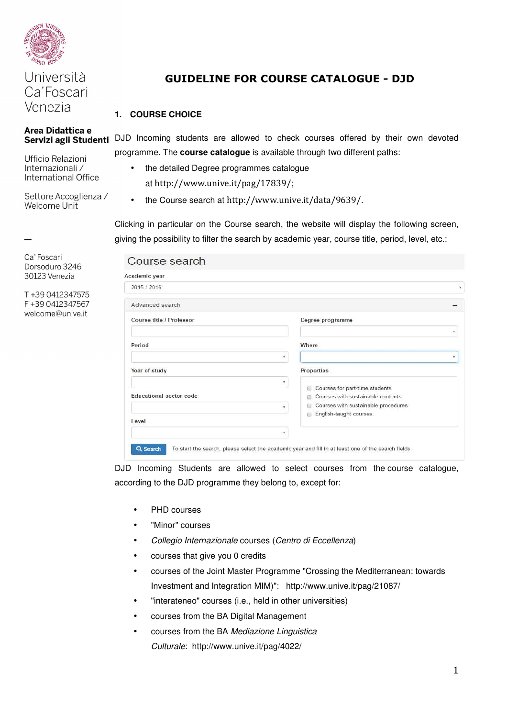

Venezia

Area Didattica e

Ufficio Relazioni Internazionali / International Office

Settore Accoglienza / Welcome Unit

Ca' Foscari Dorsoduro 3246 30123 Venezia

T+39 0412347575 F+390412347567 welcome@unive.it

# Università **GUIDELINE FOR COURSE CATALOGUE - DJD**<br>Ca'Foscari

## **1. COURSE CHOICE**

Servizi agli Studenti DJD Incoming students are allowed to check courses offered by their own devoted programme. The **course catalogue** is available through two different paths:

- the detailed Degree programmes catalogue at http://www.unive.it/pag/17839/;
- the Course search at http://www.unive.it/data/9639/.

Clicking in particular on the Course search, the website will display the following screen, giving the possibility to filter the search by academic year, course title, period, level, etc.:

### Course search

 $\overline{c}$ 

| 2015 / 2016                  |                                                                                    |
|------------------------------|------------------------------------------------------------------------------------|
| Advanced search              |                                                                                    |
| Course title / Professor     | Degree programme                                                                   |
| Period                       | ۳.<br>Where                                                                        |
| ۰                            | ٠                                                                                  |
| Year of study                | Properties                                                                         |
| ۰<br>Educational sector code | Courses for part-time students<br>$\sim$<br>Courses with sustainable contents<br>日 |
| ۰                            | Courses with sustainable procedures<br>English-taught courses<br>m                 |
| Level                        |                                                                                    |
| ۰                            |                                                                                    |

DJD Incoming Students are allowed to select courses from the course catalogue, according to the DJD programme they belong to, except for:

- PHD courses
- "Minor" courses
- Collegio Internazionale courses (Centro di Eccellenza)
- courses that give you 0 credits
- courses of the Joint Master Programme "Crossing the Mediterranean: towards Investment and Integration MIM)": http://www.unive.it/pag/21087/
- "interateneo" courses (i.e., held in other universities)
- courses from the BA Digital Management
- courses from the BA Mediazione Linguistica Culturale: http://www.unive.it/pag/4022/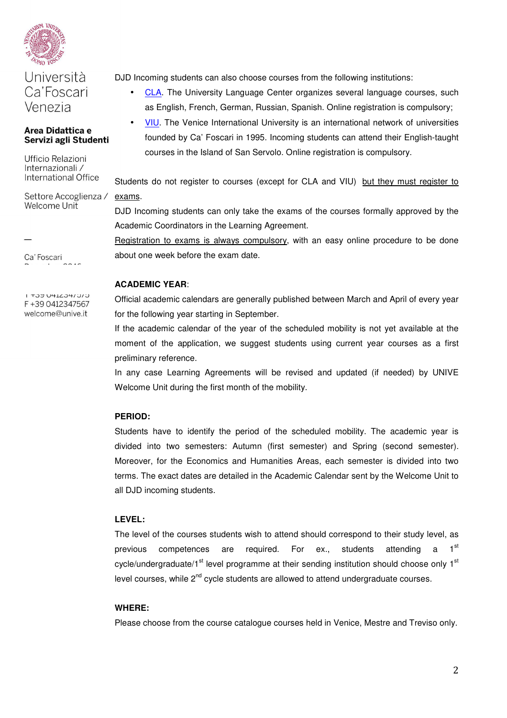

# Università Ca'Foscari Venezia

#### Area Didattica e Servizi agli Studenti

Ufficio Relazioni Internazionali / International Office

Settore Accoglienza / Welcome Unit

Ca' Foscari

U TUO VALZJATU COTI F+390412347567 welcome@unive.it

DJD Incoming students can also choose courses from the following institutions:

- CLA. The University Language Center organizes several language courses, such as English, French, German, Russian, Spanish. Online registration is compulsory;
	- VIU. The Venice International University is an international network of universities founded by Ca' Foscari in 1995. Incoming students can attend their English-taught courses in the Island of San Servolo. Online registration is compulsory.

Students do not register to courses (except for CLA and VIU) but they must register to exams.

DJD Incoming students can only take the exams of the courses formally approved by the Academic Coordinators in the Learning Agreement.

Registration to exams is always compulsory, with an easy online procedure to be done about one week before the exam date.

#### **ACADEMIC YEAR**:

Official academic calendars are generally published between March and April of every year for the following year starting in September.

If the academic calendar of the year of the scheduled mobility is not yet available at the moment of the application, we suggest students using current year courses as a first preliminary reference.

In any case Learning Agreements will be revised and updated (if needed) by UNIVE Welcome Unit during the first month of the mobility.

#### **PERIOD:**

Students have to identify the period of the scheduled mobility. The academic year is divided into two semesters: Autumn (first semester) and Spring (second semester). Moreover, for the Economics and Humanities Areas, each semester is divided into two terms. The exact dates are detailed in the Academic Calendar sent by the Welcome Unit to all DJD incoming students.

#### **LEVEL:**

The level of the courses students wish to attend should correspond to their study level, as previous competences are required. For ex., students attending a 1<sup>st</sup> cycle/undergraduate/1<sup>st</sup> level programme at their sending institution should choose only  $1<sup>st</sup>$ level courses, while  $2^{nd}$  cycle students are allowed to attend undergraduate courses.

#### **WHERE:**

Please choose from the course catalogue courses held in Venice, Mestre and Treviso only.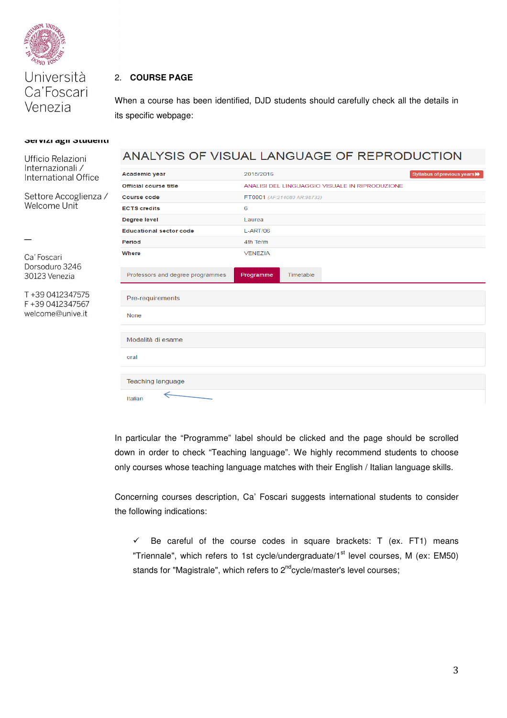

Università Ca'Foscari Venezia

#### 2. **COURSE PAGE**

When a course has been identified, DJD students should carefully check all the details in its specific webpage:

#### JEI VIZI AGII JUUUEIIU

#### ANALYSIS OF VISUAL LANGUAGE OF REPRODUCTION Ufficio Relazioni Internazionali / 2015/2016 Academic year Syllabus of previous ye International Office **Official course title** ANALISI DEL LINGUAGGIO VISUALE IN RIPRODUZIONE Settore Accoglienza / FT0001 (AF:214080 AR:98732) **Course code Welcome Unit ECTS** credits  $\overline{6}$ Degree level Laurea **Educational sector code** L-ART/06 Period 4th Term Where **VENEZIA** Ca' Foscari Dorsoduro 3246 Professors and degree programmes Programme Timetable 30123 Venezia T+39 0412347575 Pre-requirements F+390412347567 welcome@unive.it None Modalità di esame oral **Teaching language** Italian

In particular the "Programme" label should be clicked and the page should be scrolled down in order to check "Teaching language". We highly recommend students to choose only courses whose teaching language matches with their English / Italian language skills.

Concerning courses description, Ca' Foscari suggests international students to consider the following indications:

 $\checkmark$  Be careful of the course codes in square brackets: T (ex. FT1) means "Triennale", which refers to 1st cycle/undergraduate/1 $^{\text{st}}$  level courses, M (ex: EM50) stands for "Magistrale", which refers to  $2^{nd}$ cycle/master's level courses;